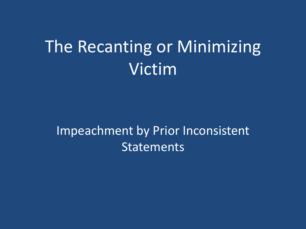# The Recanting or Minimizing Victim

#### Impeachment by Prior Inconsistent **Statements**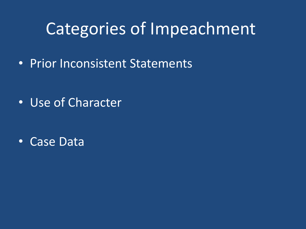# Categories of Impeachment

• Prior Inconsistent Statements

• Use of Character

• Case Data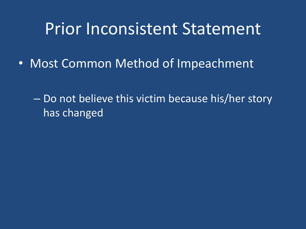#### Prior Inconsistent Statement

- Most Common Method of Impeachment
	- Do not believe this victim because his/her story has changed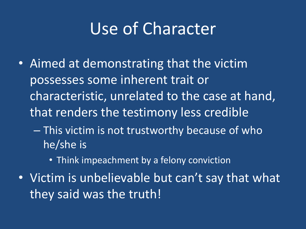## Use of Character

- Aimed at demonstrating that the victim possesses some inherent trait or characteristic, unrelated to the case at hand, that renders the testimony less credible
	- This victim is not trustworthy because of who he/she is
		- Think impeachment by a felony conviction
- Victim is unbelievable but can't say that what they said was the truth!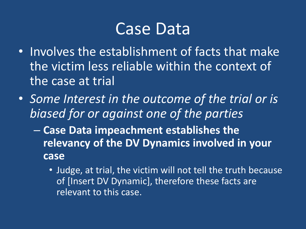#### Case Data

- Involves the establishment of facts that make the victim less reliable within the context of the case at trial
- *Some Interest in the outcome of the trial or is biased for or against one of the parties*
	- **Case Data impeachment establishes the relevancy of the DV Dynamics involved in your case**
		- Judge, at trial, the victim will not tell the truth because of [Insert DV Dynamic], therefore these facts are relevant to this case.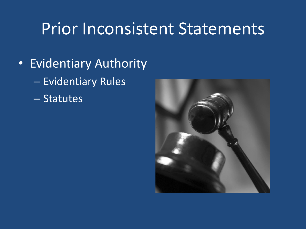#### Prior Inconsistent Statements

- Evidentiary Authority
	- Evidentiary Rules
	- Statutes

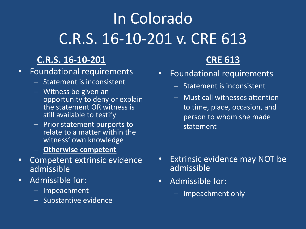# In Colorado C.R.S. 16-10-201 v. CRE 613

#### **C.R.S. 16-10-201**

- Foundational requirements
	- Statement is inconsistent
	- Witness be given an opportunity to deny or explain the statement OR witness is still available to testify
	- Prior statement purports to relate to a matter within the witness' own knowledge
	- **Otherwise competent**
- Competent extrinsic evidence admissible
- Admissible for:
	- Impeachment
	- Substantive evidence

#### **CRE 613**

- Foundational requirements
	- Statement is inconsistent
	- Must call witnesses attention to time, place, occasion, and person to whom she made statement

- Extrinsic evidence may NOT be admissible
- Admissible for:
	- Impeachment only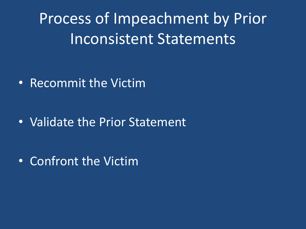Process of Impeachment by Prior Inconsistent Statements

• Recommit the Victim

• Validate the Prior Statement

• Confront the Victim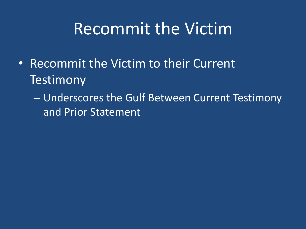## Recommit the Victim

- Recommit the Victim to their Current **Testimony** 
	- Underscores the Gulf Between Current Testimony and Prior Statement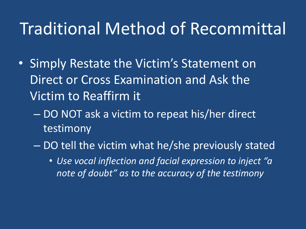#### Traditional Method of Recommittal

- Simply Restate the Victim's Statement on Direct or Cross Examination and Ask the Victim to Reaffirm it
	- DO NOT ask a victim to repeat his/her direct testimony
	- DO tell the victim what he/she previously stated
		- *Use vocal inflection and facial expression to inject "a note of doubt" as to the accuracy of the testimony*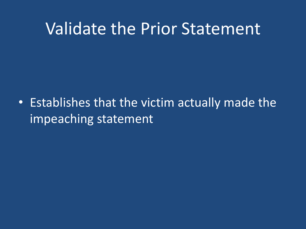#### Validate the Prior Statement

• Establishes that the victim actually made the impeaching statement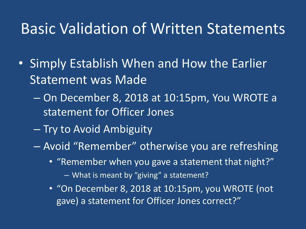#### Basic Validation of Written Statements

- Simply Establish When and How the Earlier Statement was Made
	- On December 8, 2018 at 10:15pm, You WROTE a statement for Officer Jones
	- Try to Avoid Ambiguity
	- Avoid "Remember" otherwise you are refreshing
		- "Remember when you gave a statement that night?"
			- What is meant by "giving" a statement?
		- "On December 8, 2018 at 10:15pm, you WROTE (not gave) a statement for Officer Jones correct?"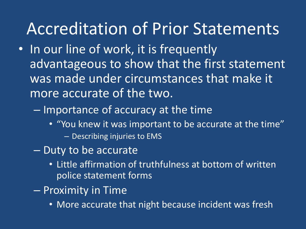#### Accreditation of Prior Statements

- In our line of work, it is frequently advantageous to show that the first statement was made under circumstances that make it more accurate of the two.
	- Importance of accuracy at the time
		- "You knew it was important to be accurate at the time" – Describing injuries to EMS
	- Duty to be accurate
		- Little affirmation of truthfulness at bottom of written police statement forms
	- Proximity in Time
		- More accurate that night because incident was fresh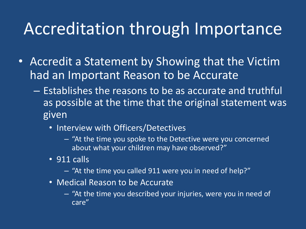#### Accreditation through Importance

- Accredit a Statement by Showing that the Victim had an Important Reason to be Accurate
	- Establishes the reasons to be as accurate and truthful as possible at the time that the original statement was given
		- Interview with Officers/Detectives
			- "At the time you spoke to the Detective were you concerned about what your children may have observed?"
		- 911 calls
			- "At the time you called 911 were you in need of help?"
		- Medical Reason to be Accurate
			- "At the time you described your injuries, were you in need of care"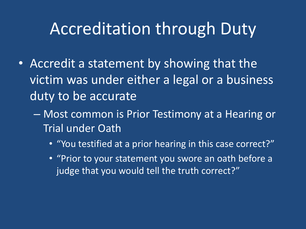#### Accreditation through Duty

- Accredit a statement by showing that the victim was under either a legal or a business duty to be accurate
	- Most common is Prior Testimony at a Hearing or Trial under Oath
		- "You testified at a prior hearing in this case correct?"
		- "Prior to your statement you swore an oath before a judge that you would tell the truth correct?"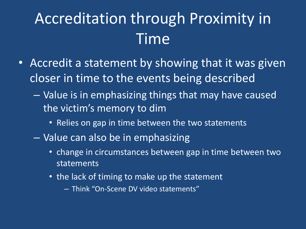# Accreditation through Proximity in Time

- Accredit a statement by showing that it was given closer in time to the events being described
	- Value is in emphasizing things that may have caused the victim's memory to dim
		- Relies on gap in time between the two statements
	- Value can also be in emphasizing
		- change in circumstances between gap in time between two statements
		- the lack of timing to make up the statement
			- Think "On-Scene DV video statements"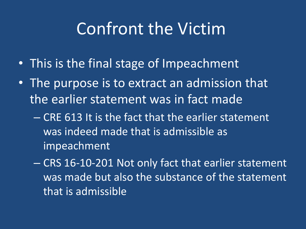## Confront the Victim

- This is the final stage of Impeachment
- The purpose is to extract an admission that the earlier statement was in fact made
	- CRE 613 It is the fact that the earlier statement was indeed made that is admissible as impeachment
	- CRS 16-10-201 Not only fact that earlier statement was made but also the substance of the statement that is admissible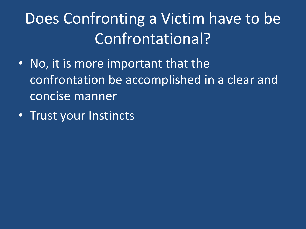# Does Confronting a Victim have to be Confrontational?

- No, it is more important that the confrontation be accomplished in a clear and concise manner
- Trust your Instincts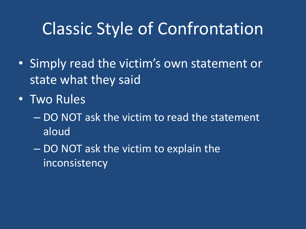## Classic Style of Confrontation

- Simply read the victim's own statement or state what they said
- Two Rules
	- DO NOT ask the victim to read the statement aloud
	- DO NOT ask the victim to explain the inconsistency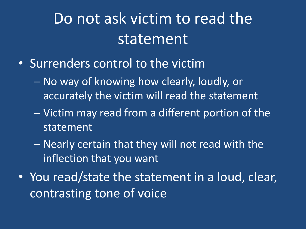## Do not ask victim to read the statement

- Surrenders control to the victim
	- No way of knowing how clearly, loudly, or accurately the victim will read the statement
	- Victim may read from a different portion of the statement
	- Nearly certain that they will not read with the inflection that you want
- You read/state the statement in a loud, clear, contrasting tone of voice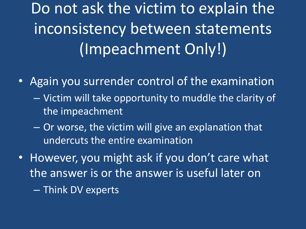Do not ask the victim to explain the inconsistency between statements (Impeachment Only!)

- Again you surrender control of the examination
	- Victim will take opportunity to muddle the clarity of the impeachment
	- Or worse, the victim will give an explanation that undercuts the entire examination
- However, you might ask if you don't care what the answer is or the answer is useful later on

– Think DV experts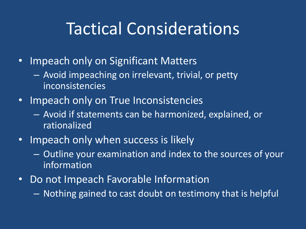### Tactical Considerations

- Impeach only on Significant Matters
	- Avoid impeaching on irrelevant, trivial, or petty inconsistencies
- Impeach only on True Inconsistencies
	- Avoid if statements can be harmonized, explained, or **rationalized**
- Impeach only when success is likely
	- Outline your examination and index to the sources of your information
- Do not Impeach Favorable Information
	- Nothing gained to cast doubt on testimony that is helpful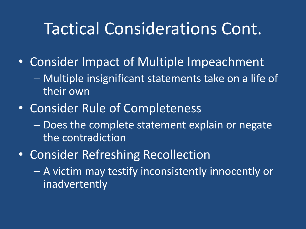#### Tactical Considerations Cont.

- Consider Impact of Multiple Impeachment
	- Multiple insignificant statements take on a life of their own
- Consider Rule of Completeness
	- Does the complete statement explain or negate the contradiction
- Consider Refreshing Recollection
	- A victim may testify inconsistently innocently or inadvertently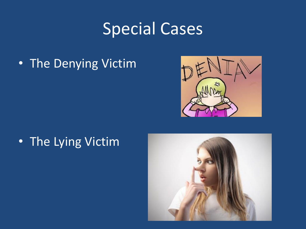## Special Cases

• The Denying Victim



• The Lying Victim

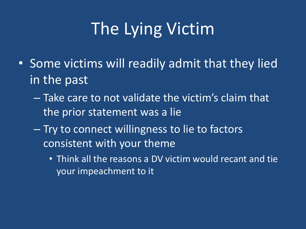# The Lying Victim

- Some victims will readily admit that they lied in the past
	- Take care to not validate the victim's claim that the prior statement was a lie
	- Try to connect willingness to lie to factors consistent with your theme
		- Think all the reasons a DV victim would recant and tie your impeachment to it